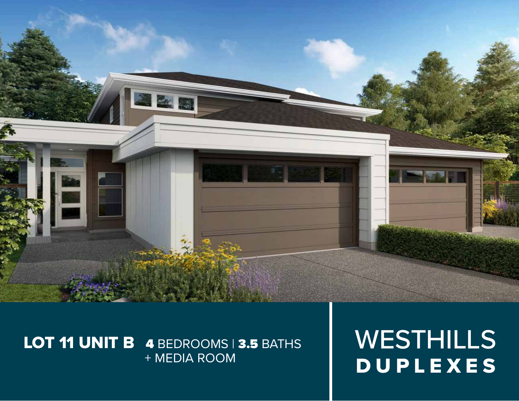

## LOT 11 UNIT B 4 BEDROOMS | 3.5 BATHS + MEDIA ROOM

WESTHILLS DUPLEXES